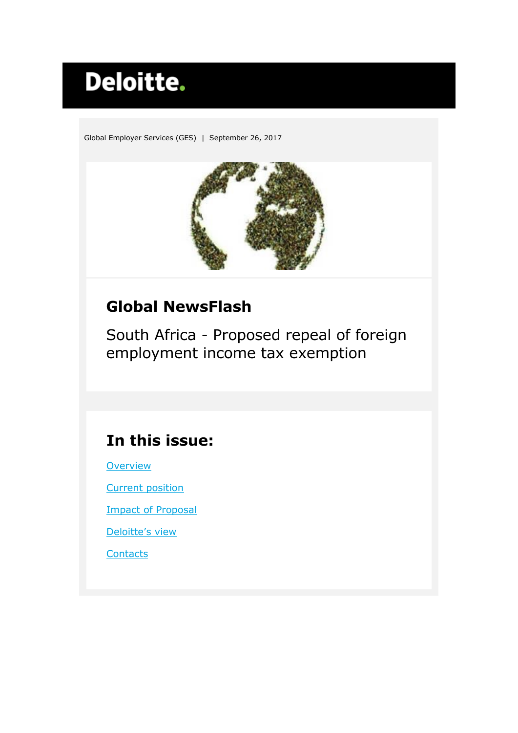# Deloitte.

Global Employer Services (GES) | September 26, 2017



# **Global NewsFlash**

<span id="page-0-0"></span>South Africa - Proposed repeal of foreign employment income tax exemption

# **In this issue:**

**[Overview](#page-1-0)** 

[Current position](#page-1-1)

[Impact of Proposal](#page-1-2)

[Deloitte's view](#page-2-0)

**[Contacts](#page-3-0)**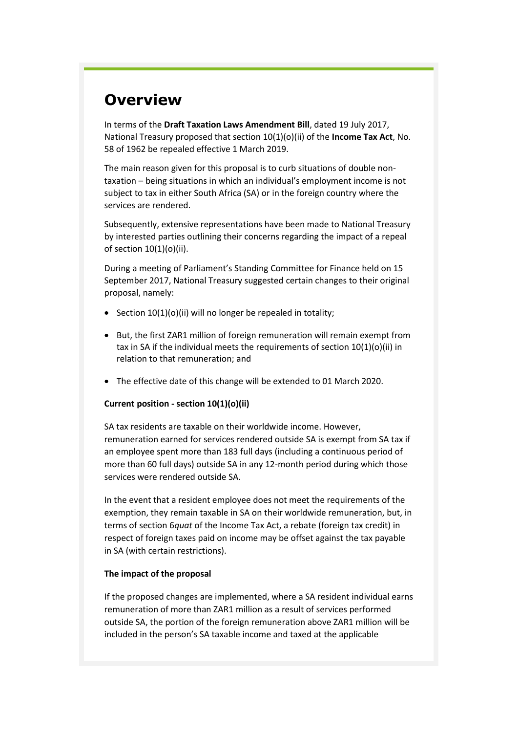## <span id="page-1-0"></span>**Overview**

In terms of the **Draft Taxation Laws Amendment Bill**, dated 19 July 2017, National Treasury proposed that section 10(1)(o)(ii) of the **Income Tax Act**, No. 58 of 1962 be repealed effective 1 March 2019.

The main reason given for this proposal is to curb situations of double nontaxation – being situations in which an individual's employment income is not subject to tax in either South Africa (SA) or in the foreign country where the services are rendered.

Subsequently, extensive representations have been made to National Treasury by interested parties outlining their concerns regarding the impact of a repeal of section 10(1)(o)(ii).

During a meeting of Parliament's Standing Committee for Finance held on 15 September 2017, National Treasury suggested certain changes to their original proposal, namely:

- Section  $10(1)(o)(ii)$  will no longer be repealed in totality;
- But, the first ZAR1 million of foreign remuneration will remain exempt from tax in SA if the individual meets the requirements of section 10(1)(o)(ii) in relation to that remuneration; and
- The effective date of this change will be extended to 01 March 2020.

#### <span id="page-1-1"></span>**Current position - section 10(1)(o)(ii)**

SA tax residents are taxable on their worldwide income. However, remuneration earned for services rendered outside SA is exempt from SA tax if an employee spent more than 183 full days (including a continuous period of more than 60 full days) outside SA in any 12-month period during which those services were rendered outside SA.

In the event that a resident employee does not meet the requirements of the exemption, they remain taxable in SA on their worldwide remuneration, but, in terms of section 6*quat* of the Income Tax Act, a rebate (foreign tax credit) in respect of foreign taxes paid on income may be offset against the tax payable in SA (with certain restrictions).

#### <span id="page-1-2"></span>**The impact of the proposal**

If the proposed changes are implemented, where a SA resident individual earns remuneration of more than ZAR1 million as a result of services performed outside SA, the portion of the foreign remuneration above ZAR1 million will be included in the person's SA taxable income and taxed at the applicable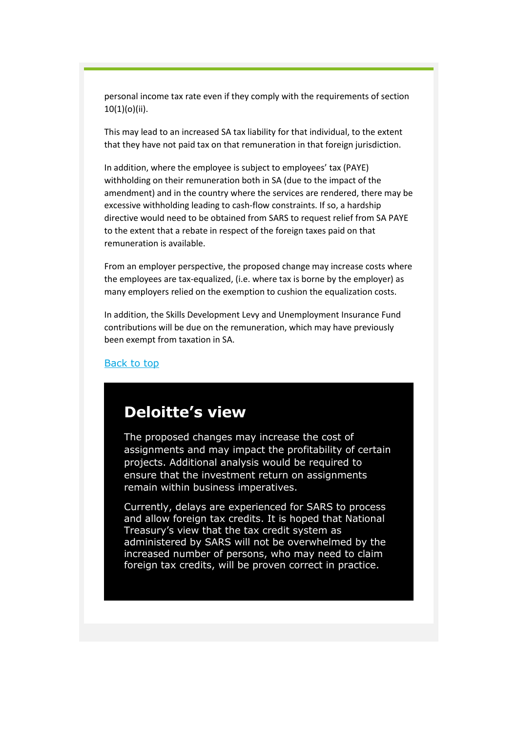personal income tax rate even if they comply with the requirements of section 10(1)(o)(ii).

This may lead to an increased SA tax liability for that individual, to the extent that they have not paid tax on that remuneration in that foreign jurisdiction.

In addition, where the employee is subject to employees' tax (PAYE) withholding on their remuneration both in SA (due to the impact of the amendment) and in the country where the services are rendered, there may be excessive withholding leading to cash-flow constraints. If so, a hardship directive would need to be obtained from SARS to request relief from SA PAYE to the extent that a rebate in respect of the foreign taxes paid on that remuneration is available.

From an employer perspective, the proposed change may increase costs where the employees are tax-equalized, (i.e. where tax is borne by the employer) as many employers relied on the exemption to cushion the equalization costs.

In addition, the Skills Development Levy and Unemployment Insurance Fund contributions will be due on the remuneration, which may have previously been exempt from taxation in SA.

#### [Back to top](#page-0-0)

### <span id="page-2-0"></span>**Deloitte's view**

The proposed changes may increase the cost of assignments and may impact the profitability of certain projects. Additional analysis would be required to ensure that the investment return on assignments remain within business imperatives.

Currently, delays are experienced for SARS to process and allow foreign tax credits. It is hoped that National Treasury's view that the tax credit system as administered by SARS will not be overwhelmed by the increased number of persons, who may need to claim foreign tax credits, will be proven correct in practice.